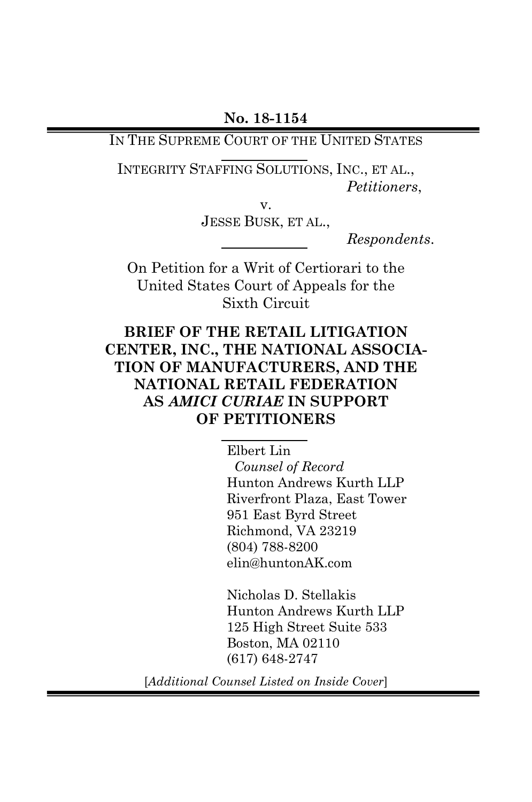IN THE SUPREME COURT OF THE UNITED STATES

INTEGRITY STAFFING SOLUTIONS, INC., ET AL., *Petitioners*,

v.

JESSE BUSK, ET AL.,

*Respondents*.

On Petition for a Writ of Certiorari to the United States Court of Appeals for the Sixth Circuit

### **BRIEF OF THE RETAIL LITIGATION CENTER, INC., THE NATIONAL ASSOCIA-TION OF MANUFACTURERS, AND THE NATIONAL RETAIL FEDERATION AS** *AMICI CURIAE* **IN SUPPORT OF PETITIONERS**

Elbert Lin  *Counsel of Record* Hunton Andrews Kurth LLP Riverfront Plaza, East Tower 951 East Byrd Street Richmond, VA 23219 (804) 788-8200 elin@huntonAK.com

Nicholas D. Stellakis Hunton Andrews Kurth LLP 125 High Street Suite 533 Boston, MA 02110 (617) 648-2747

[*Additional Counsel Listed on Inside Cover*]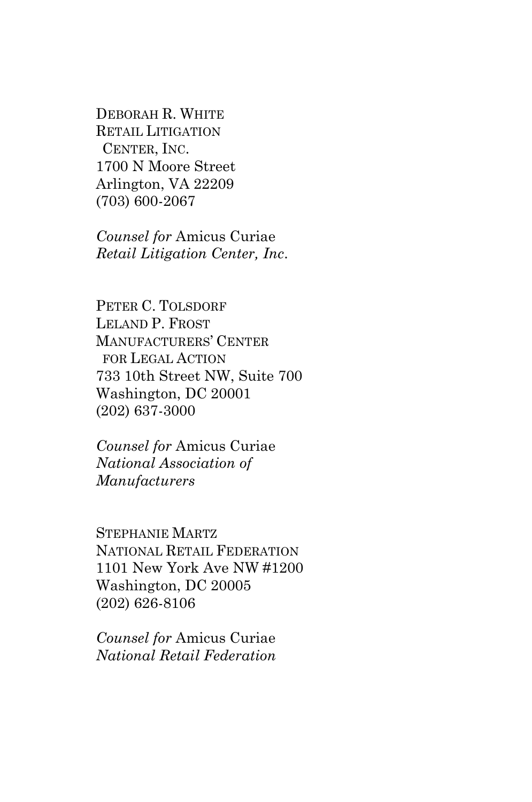DEBORAH R. WHITE RETAIL LITIGATION CENTER, INC. 1700 N Moore Street Arlington, VA 22209 (703) 600-2067

*Counsel for* Amicus Curiae *Retail Litigation Center, Inc*.

PETER C. TOLSDORF LELAND P. FROST MANUFACTURERS' CENTER FOR LEGAL ACTION 733 10th Street NW, Suite 700 Washington, DC 20001 (202) 637-3000

*Counsel for* Amicus Curiae *National Association of Manufacturers*

STEPHANIE MARTZ NATIONAL RETAIL FEDERATION 1101 New York Ave NW #1200 Washington, DC 20005 (202) 626-8106

*Counsel for* Amicus Curiae *National Retail Federation*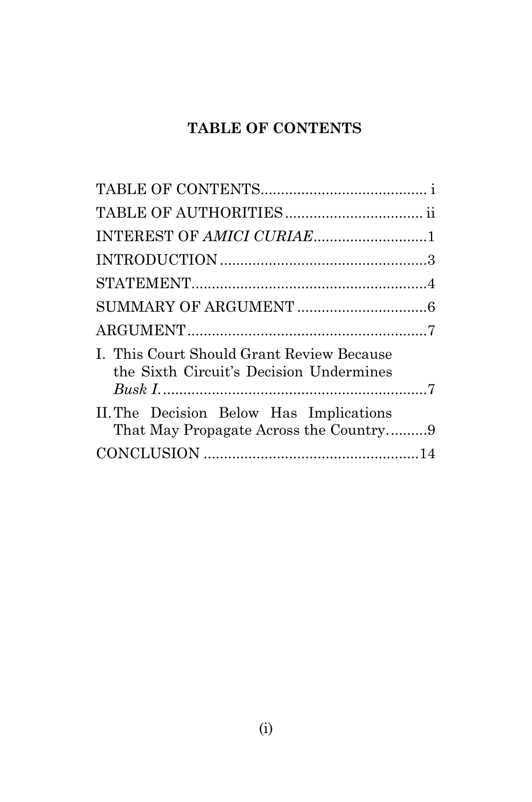# **TABLE OF CONTENTS**

<span id="page-2-0"></span>

| INTEREST OF AMICI CURIAE1<br>I. This Court Should Grant Review Because<br>the Sixth Circuit's Decision Undermines<br>II. The Decision Below Has Implications<br>That May Propagate Across the Country9 |  |
|--------------------------------------------------------------------------------------------------------------------------------------------------------------------------------------------------------|--|
|                                                                                                                                                                                                        |  |
|                                                                                                                                                                                                        |  |
|                                                                                                                                                                                                        |  |
|                                                                                                                                                                                                        |  |
|                                                                                                                                                                                                        |  |
|                                                                                                                                                                                                        |  |
|                                                                                                                                                                                                        |  |
|                                                                                                                                                                                                        |  |
|                                                                                                                                                                                                        |  |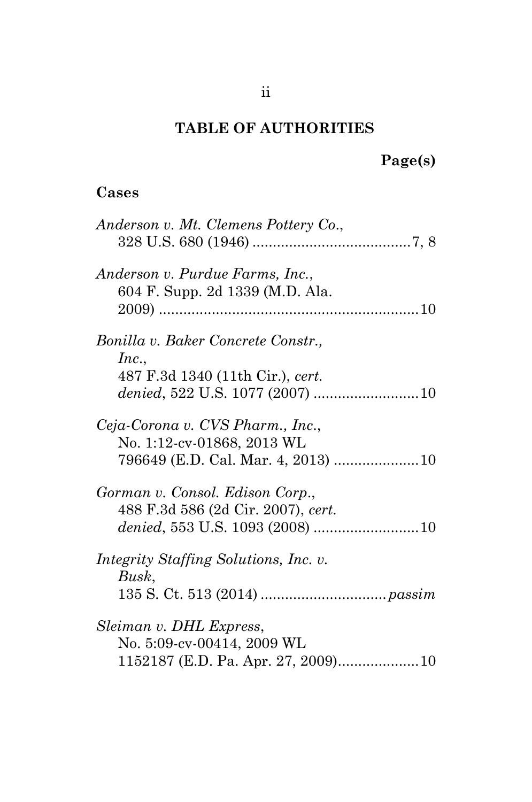## **TABLE OF AUTHORITIES**

# **Page(s)**

# <span id="page-3-0"></span>**Cases**

| Anderson v. Mt. Clemens Pottery Co.,                                                                 |
|------------------------------------------------------------------------------------------------------|
| Anderson v. Purdue Farms, Inc.,<br>604 F. Supp. 2d 1339 (M.D. Ala.                                   |
| Bonilla v. Baker Concrete Constr.,<br>Inc.,<br>487 F.3d 1340 (11th Cir.), cert.                      |
| Ceja-Corona v. CVS Pharm., Inc.,<br>No. 1:12-cv-01868, 2013 WL<br>796649 (E.D. Cal. Mar. 4, 2013) 10 |
| Gorman v. Consol. Edison Corp.,<br>488 F.3d 586 (2d Cir. 2007), cert.                                |
| <i>Integrity Staffing Solutions, Inc. v.</i><br>Busk,                                                |
| Sleiman v. DHL Express,<br>No. 5:09-cv-00414, 2009 WL                                                |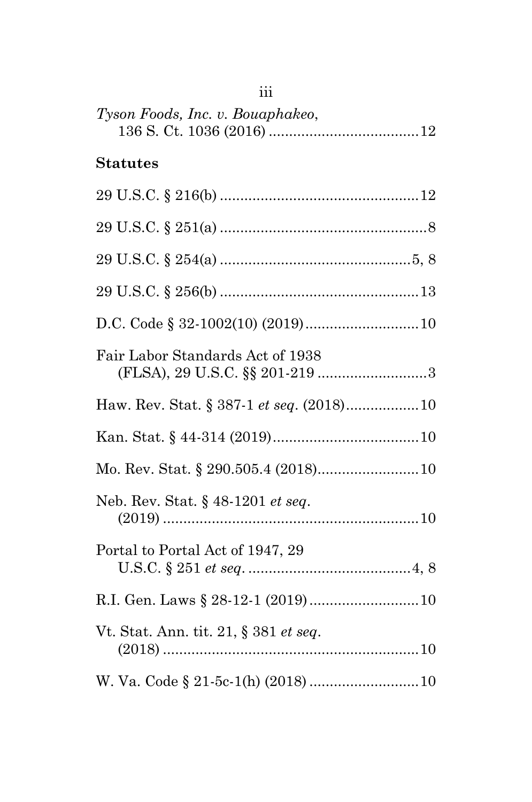| 111                                      |
|------------------------------------------|
| Tyson Foods, Inc. v. Bouaphakeo,         |
| <b>Statutes</b>                          |
|                                          |
|                                          |
|                                          |
|                                          |
|                                          |
| Fair Labor Standards Act of 1938         |
| Haw. Rev. Stat. § 387-1 et seq. (2018)10 |
|                                          |
|                                          |
| Neb. Rev. Stat. § 48-1201 et seq.        |
| Portal to Portal Act of 1947, 29         |
|                                          |
| Vt. Stat. Ann. tit. 21, § 381 et seq.    |
|                                          |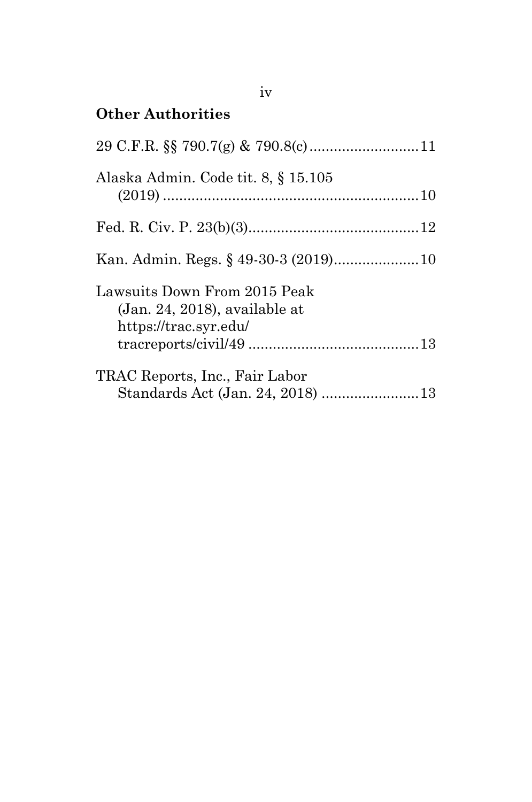# **Other Authorities**

| Alaska Admin. Code tit. 8, § 15.105                                                       |  |
|-------------------------------------------------------------------------------------------|--|
|                                                                                           |  |
|                                                                                           |  |
| Lawsuits Down From 2015 Peak<br>$(Jan. 24, 2018)$ , available at<br>https://trac.syr.edu/ |  |
| TRAC Reports, Inc., Fair Labor                                                            |  |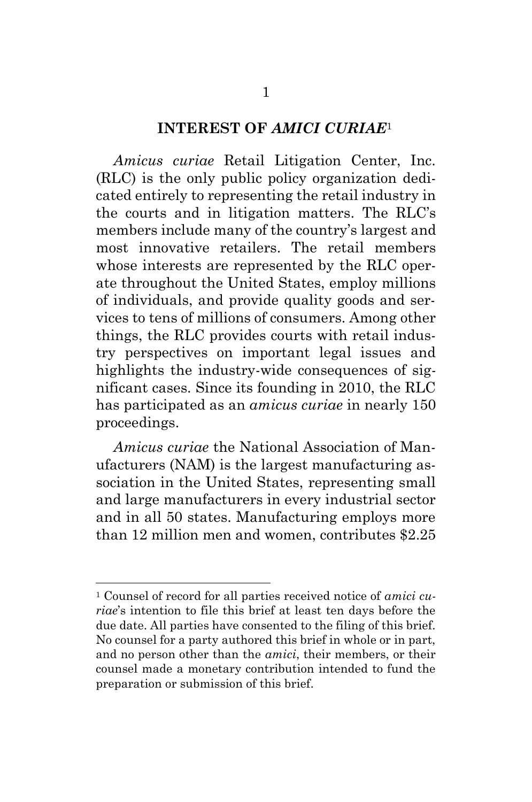#### **INTEREST OF** *AMICI CURIAE*<sup>1</sup>

<span id="page-6-0"></span>*Amicus curiae* Retail Litigation Center, Inc. (RLC) is the only public policy organization dedicated entirely to representing the retail industry in the courts and in litigation matters. The RLC's members include many of the country's largest and most innovative retailers. The retail members whose interests are represented by the RLC operate throughout the United States, employ millions of individuals, and provide quality goods and services to tens of millions of consumers. Among other things, the RLC provides courts with retail industry perspectives on important legal issues and highlights the industry-wide consequences of significant cases. Since its founding in 2010, the RLC has participated as an *amicus curiae* in nearly 150 proceedings.

*Amicus curiae* the National Association of Manufacturers (NAM) is the largest manufacturing association in the United States, representing small and large manufacturers in every industrial sector and in all 50 states. Manufacturing employs more than 12 million men and women, contributes \$2.25

l

<sup>1</sup> Counsel of record for all parties received notice of *amici curiae*'s intention to file this brief at least ten days before the due date. All parties have consented to the filing of this brief. No counsel for a party authored this brief in whole or in part, and no person other than the *amici*, their members, or their counsel made a monetary contribution intended to fund the preparation or submission of this brief.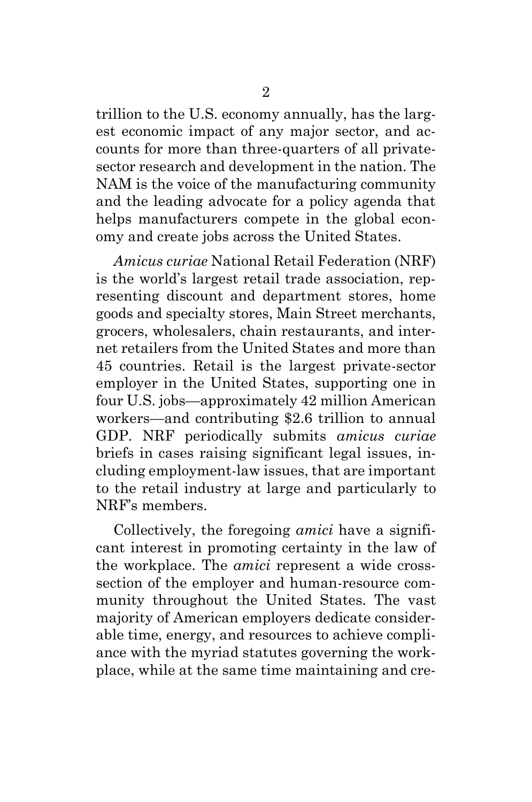trillion to the U.S. economy annually, has the largest economic impact of any major sector, and accounts for more than three-quarters of all privatesector research and development in the nation. The NAM is the voice of the manufacturing community and the leading advocate for a policy agenda that helps manufacturers compete in the global economy and create jobs across the United States.

*Amicus curiae* National Retail Federation (NRF) is the world's largest retail trade association, representing discount and department stores, home goods and specialty stores, Main Street merchants, grocers, wholesalers, chain restaurants, and internet retailers from the United States and more than 45 countries. Retail is the largest private-sector employer in the United States, supporting one in four U.S. jobs—approximately 42 million American workers—and contributing \$2.6 trillion to annual GDP. NRF periodically submits *amicus curiae* briefs in cases raising significant legal issues, including employment-law issues, that are important to the retail industry at large and particularly to NRF's members.

Collectively, the foregoing *amici* have a significant interest in promoting certainty in the law of the workplace. The *amici* represent a wide crosssection of the employer and human-resource community throughout the United States. The vast majority of American employers dedicate considerable time, energy, and resources to achieve compliance with the myriad statutes governing the workplace, while at the same time maintaining and cre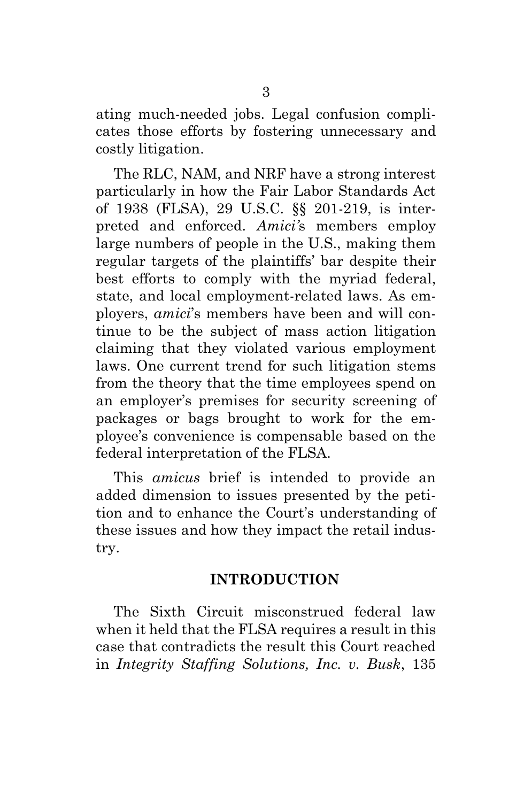ating much-needed jobs. Legal confusion complicates those efforts by fostering unnecessary and costly litigation.

<span id="page-8-2"></span>The RLC, NAM, and NRF have a strong interest particularly in how the Fair Labor Standards Act of 1938 (FLSA), 29 U.S.C. §§ 201-219, is interpreted and enforced. *Amici'*s members employ large numbers of people in the U.S., making them regular targets of the plaintiffs' bar despite their best efforts to comply with the myriad federal, state, and local employment-related laws. As employers, *amici*'s members have been and will continue to be the subject of mass action litigation claiming that they violated various employment laws. One current trend for such litigation stems from the theory that the time employees spend on an employer's premises for security screening of packages or bags brought to work for the employee's convenience is compensable based on the federal interpretation of the FLSA.

This *amicus* brief is intended to provide an added dimension to issues presented by the petition and to enhance the Court's understanding of these issues and how they impact the retail industry.

#### **INTRODUCTION**

<span id="page-8-1"></span><span id="page-8-0"></span>The Sixth Circuit misconstrued federal law when it held that the FLSA requires a result in this case that contradicts the result this Court reached in *Integrity Staffing Solutions, Inc. v. Busk*, 135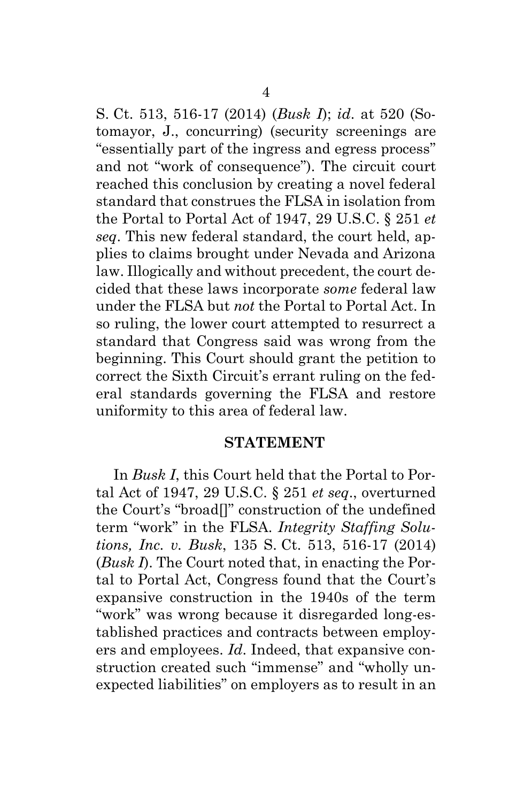<span id="page-9-1"></span>S. Ct. 513, 516-17 (2014) (*Busk I*); *id*. at 520 (Sotomayor, J., concurring) (security screenings are "essentially part of the ingress and egress process" and not "work of consequence"). The circuit court reached this conclusion by creating a novel federal standard that construes the FLSA in isolation from the Portal to Portal Act of 1947, 29 U.S.C. § 251 *et seq*. This new federal standard, the court held, applies to claims brought under Nevada and Arizona law. Illogically and without precedent, the court decided that these laws incorporate *some* federal law under the FLSA but *not* the Portal to Portal Act. In so ruling, the lower court attempted to resurrect a standard that Congress said was wrong from the beginning. This Court should grant the petition to correct the Sixth Circuit's errant ruling on the federal standards governing the FLSA and restore uniformity to this area of federal law.

#### **STATEMENT**

<span id="page-9-0"></span>In *Busk I*, this Court held that the Portal to Portal Act of 1947, 29 U.S.C. § 251 *et seq*., overturned the Court's "broad[]" construction of the undefined term "work" in the FLSA. *Integrity Staffing Solutions, Inc. v. Busk*, 135 S. Ct. 513, 516-17 (2014) (*Busk I*). The Court noted that, in enacting the Portal to Portal Act, Congress found that the Court's expansive construction in the 1940s of the term "work" was wrong because it disregarded long-established practices and contracts between employers and employees. *Id*. Indeed, that expansive construction created such "immense" and "wholly unexpected liabilities" on employers as to result in an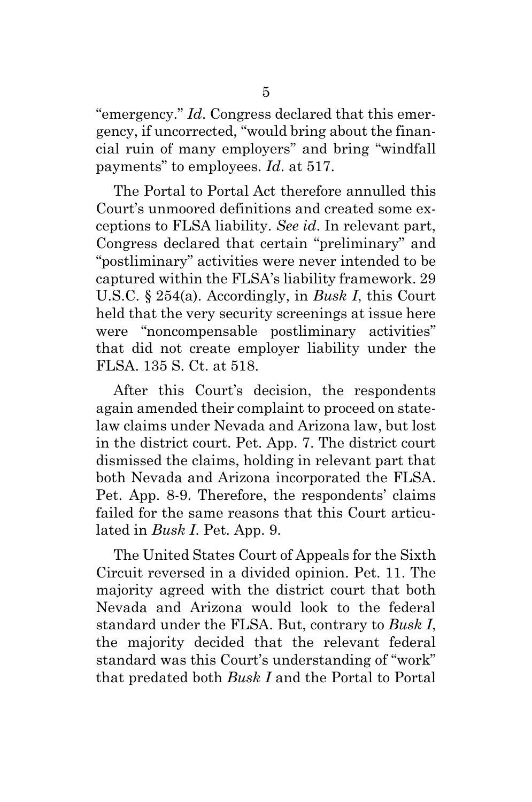"emergency." *Id*. Congress declared that this emergency, if uncorrected, "would bring about the financial ruin of many employers" and bring "windfall payments" to employees. *Id*. at 517.

<span id="page-10-0"></span>The Portal to Portal Act therefore annulled this Court's unmoored definitions and created some exceptions to FLSA liability. *See id*. In relevant part, Congress declared that certain "preliminary" and "postliminary" activities were never intended to be captured within the FLSA's liability framework. 29 U.S.C. § 254(a). Accordingly, in *Busk I*, this Court held that the very security screenings at issue here were "noncompensable postliminary activities" that did not create employer liability under the FLSA. 135 S. Ct. at 518.

After this Court's decision, the respondents again amended their complaint to proceed on statelaw claims under Nevada and Arizona law, but lost in the district court. Pet. App. 7. The district court dismissed the claims, holding in relevant part that both Nevada and Arizona incorporated the FLSA. Pet. App. 8-9. Therefore, the respondents' claims failed for the same reasons that this Court articulated in *Busk I*. Pet. App. 9.

The United States Court of Appeals for the Sixth Circuit reversed in a divided opinion. Pet. 11. The majority agreed with the district court that both Nevada and Arizona would look to the federal standard under the FLSA. But, contrary to *Busk I*, the majority decided that the relevant federal standard was this Court's understanding of "work" that predated both *Busk I* and the Portal to Portal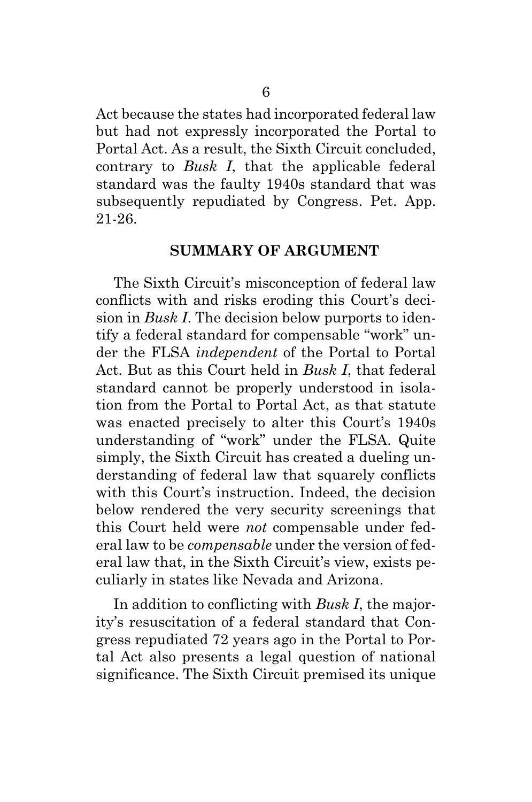Act because the states had incorporated federal law but had not expressly incorporated the Portal to Portal Act. As a result, the Sixth Circuit concluded, contrary to *Busk I*, that the applicable federal standard was the faulty 1940s standard that was subsequently repudiated by Congress. Pet. App. 21-26.

#### **SUMMARY OF ARGUMENT**

<span id="page-11-0"></span>The Sixth Circuit's misconception of federal law conflicts with and risks eroding this Court's decision in *Busk I*. The decision below purports to identify a federal standard for compensable "work" under the FLSA *independent* of the Portal to Portal Act. But as this Court held in *Busk I*, that federal standard cannot be properly understood in isolation from the Portal to Portal Act, as that statute was enacted precisely to alter this Court's 1940s understanding of "work" under the FLSA. Quite simply, the Sixth Circuit has created a dueling understanding of federal law that squarely conflicts with this Court's instruction. Indeed, the decision below rendered the very security screenings that this Court held were *not* compensable under federal law to be *compensable* under the version of federal law that, in the Sixth Circuit's view, exists peculiarly in states like Nevada and Arizona.

In addition to conflicting with *Busk I*, the majority's resuscitation of a federal standard that Congress repudiated 72 years ago in the Portal to Portal Act also presents a legal question of national significance. The Sixth Circuit premised its unique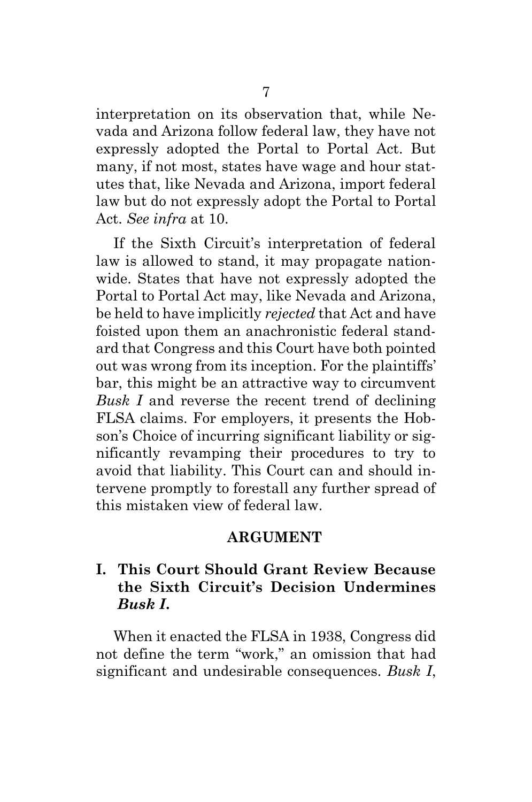interpretation on its observation that, while Nevada and Arizona follow federal law, they have not expressly adopted the Portal to Portal Act. But many, if not most, states have wage and hour statutes that, like Nevada and Arizona, import federal law but do not expressly adopt the Portal to Portal Act. *See infra* at [10.](#page-15-14)

If the Sixth Circuit's interpretation of federal law is allowed to stand, it may propagate nationwide. States that have not expressly adopted the Portal to Portal Act may, like Nevada and Arizona, be held to have implicitly *rejected* that Act and have foisted upon them an anachronistic federal standard that Congress and this Court have both pointed out was wrong from its inception. For the plaintiffs' bar, this might be an attractive way to circumvent *Busk I* and reverse the recent trend of declining FLSA claims. For employers, it presents the Hobson's Choice of incurring significant liability or significantly revamping their procedures to try to avoid that liability. This Court can and should intervene promptly to forestall any further spread of this mistaken view of federal law.

#### **ARGUMENT**

### <span id="page-12-1"></span><span id="page-12-0"></span>**I. This Court Should Grant Review Because the Sixth Circuit's Decision Undermines**  *Busk I***.**

When it enacted the FLSA in 1938, Congress did not define the term "work," an omission that had significant and undesirable consequences. *Busk I*,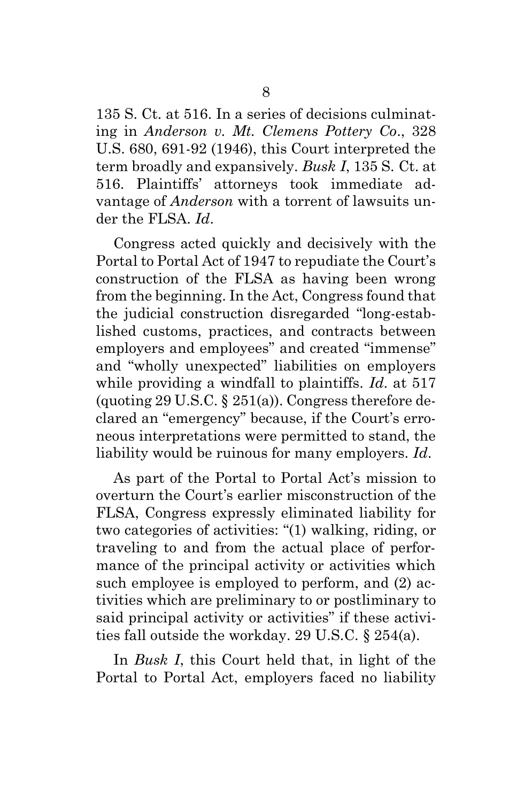<span id="page-13-0"></span>135 S. Ct. at 516. In a series of decisions culminating in *Anderson v. Mt. Clemens Pottery Co*., 328 U.S. 680, 691-92 (1946), this Court interpreted the term broadly and expansively. *Busk I*, 135 S. Ct. at 516. Plaintiffs' attorneys took immediate advantage of *Anderson* with a torrent of lawsuits under the FLSA. *Id*.

<span id="page-13-4"></span><span id="page-13-1"></span>Congress acted quickly and decisively with the Portal to Portal Act of 1947 to repudiate the Court's construction of the FLSA as having been wrong from the beginning. In the Act, Congress found that the judicial construction disregarded "long-established customs, practices, and contracts between employers and employees" and created "immense" and "wholly unexpected" liabilities on employers while providing a windfall to plaintiffs. *Id*. at 517 (quoting 29 U.S.C.  $\S$  251(a)). Congress therefore declared an "emergency" because, if the Court's erroneous interpretations were permitted to stand, the liability would be ruinous for many employers. *Id*.

<span id="page-13-2"></span>As part of the Portal to Portal Act's mission to overturn the Court's earlier misconstruction of the FLSA, Congress expressly eliminated liability for two categories of activities: "(1) walking, riding, or traveling to and from the actual place of performance of the principal activity or activities which such employee is employed to perform, and (2) activities which are preliminary to or postliminary to said principal activity or activities" if these activities fall outside the workday. 29 U.S.C. § 254(a).

<span id="page-13-3"></span>In *Busk I*, this Court held that, in light of the Portal to Portal Act, employers faced no liability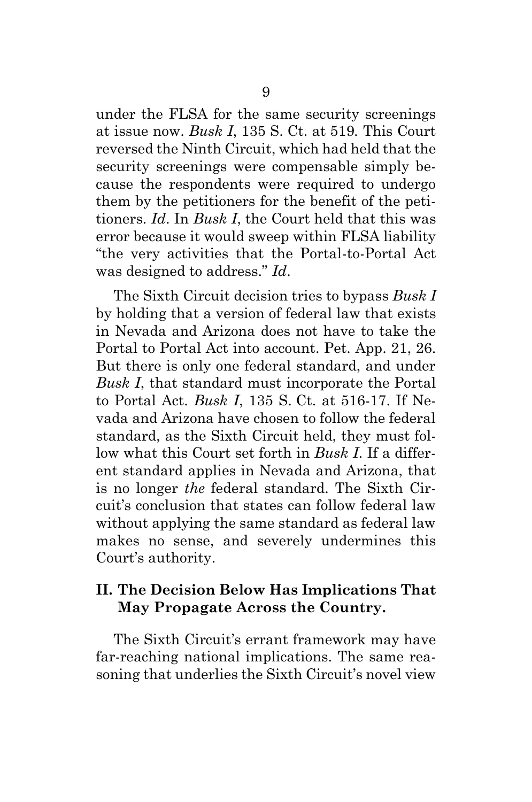under the FLSA for the same security screenings at issue now. *Busk I*, 135 S. Ct. at 519*.* This Court reversed the Ninth Circuit, which had held that the security screenings were compensable simply because the respondents were required to undergo them by the petitioners for the benefit of the petitioners. *Id*. In *Busk I*, the Court held that this was error because it would sweep within FLSA liability "the very activities that the Portal-to-Portal Act was designed to address." *Id*.

The Sixth Circuit decision tries to bypass *Busk I* by holding that a version of federal law that exists in Nevada and Arizona does not have to take the Portal to Portal Act into account. Pet. App. 21, 26. But there is only one federal standard, and under *Busk I*, that standard must incorporate the Portal to Portal Act. *Busk I*, 135 S. Ct. at 516-17. If Nevada and Arizona have chosen to follow the federal standard, as the Sixth Circuit held, they must follow what this Court set forth in *Busk I*. If a different standard applies in Nevada and Arizona, that is no longer *the* federal standard. The Sixth Circuit's conclusion that states can follow federal law without applying the same standard as federal law makes no sense, and severely undermines this Court's authority.

### <span id="page-14-0"></span>**II. The Decision Below Has Implications That May Propagate Across the Country.**

The Sixth Circuit's errant framework may have far-reaching national implications. The same reasoning that underlies the Sixth Circuit's novel view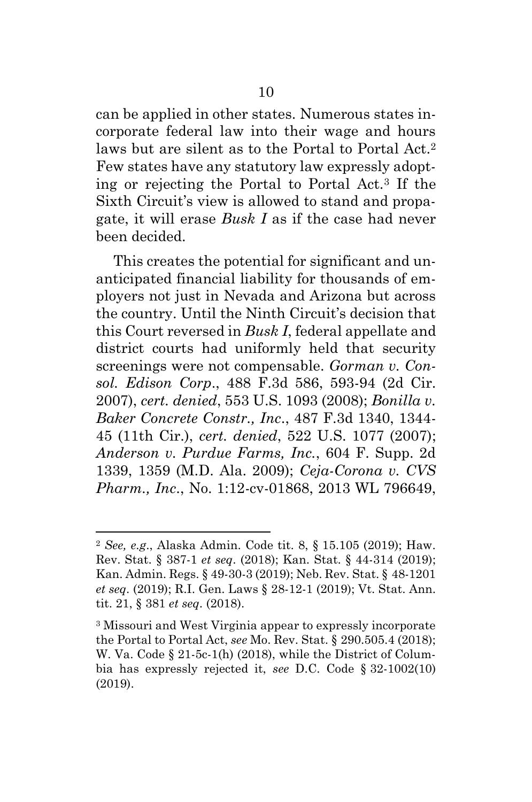can be applied in other states. Numerous states incorporate federal law into their wage and hours laws but are silent as to the Portal to Portal Act.<sup>2</sup> Few states have any statutory law expressly adopting or rejecting the Portal to Portal Act.<sup>3</sup> If the Sixth Circuit's view is allowed to stand and propagate, it will erase *Busk I* as if the case had never been decided.

<span id="page-15-3"></span>This creates the potential for significant and unanticipated financial liability for thousands of employers not just in Nevada and Arizona but across the country. Until the Ninth Circuit's decision that this Court reversed in *Busk I*, federal appellate and district courts had uniformly held that security screenings were not compensable. *Gorman v. Consol. Edison Corp*., 488 F.3d 586, 593-94 (2d Cir. 2007), *cert. denied*, 553 U.S. 1093 (2008); *Bonilla v. Baker Concrete Constr., Inc*., 487 F.3d 1340, 1344- 45 (11th Cir.), *cert. denied*, 522 U.S. 1077 (2007); *Anderson v. Purdue Farms, Inc.*, 604 F. Supp. 2d 1339, 1359 (M.D. Ala. 2009); *Ceja-Corona v. CVS Pharm., Inc*., No. 1:12-cv-01868, 2013 WL 796649,

<span id="page-15-12"></span><span id="page-15-6"></span><span id="page-15-5"></span><span id="page-15-2"></span><span id="page-15-1"></span><span id="page-15-0"></span>l

<span id="page-15-14"></span><span id="page-15-13"></span><span id="page-15-8"></span><sup>2</sup> *See, e.g*., Alaska Admin. Code tit. 8, § 15.105 (2019); Haw. Rev. Stat. § 387-1 *et seq*. (2018); Kan. Stat. § 44-314 (2019); Kan. Admin. Regs. § 49-30-3 (2019); Neb. Rev. Stat. § 48-1201 *et seq*. (2019); R.I. Gen. Laws § 28-12-1 (2019); Vt. Stat. Ann. tit. 21, § 381 *et seq*. (2018).

<span id="page-15-11"></span><span id="page-15-10"></span><span id="page-15-9"></span><span id="page-15-7"></span><span id="page-15-4"></span><sup>3</sup> Missouri and West Virginia appear to expressly incorporate the Portal to Portal Act, *see* Mo. Rev. Stat. § 290.505.4 (2018); W. Va. Code § 21-5c-1(h) (2018), while the District of Columbia has expressly rejected it, *see* D.C. Code § 32-1002(10) (2019).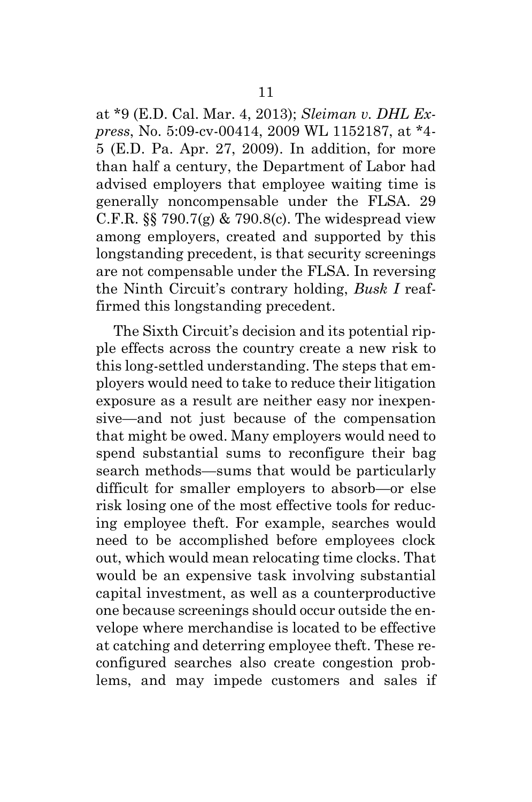<span id="page-16-1"></span><span id="page-16-0"></span>at \*9 (E.D. Cal. Mar. 4, 2013); *Sleiman v. DHL Express*, No. 5:09-cv-00414, 2009 WL 1152187, at \*4- 5 (E.D. Pa. Apr. 27, 2009). In addition, for more than half a century, the Department of Labor had advised employers that employee waiting time is generally noncompensable under the FLSA. 29 C.F.R.  $\S$  790.7(g) & 790.8(c). The widespread view among employers, created and supported by this longstanding precedent, is that security screenings are not compensable under the FLSA. In reversing the Ninth Circuit's contrary holding, *Busk I* reaffirmed this longstanding precedent.

The Sixth Circuit's decision and its potential ripple effects across the country create a new risk to this long-settled understanding. The steps that employers would need to take to reduce their litigation exposure as a result are neither easy nor inexpensive—and not just because of the compensation that might be owed. Many employers would need to spend substantial sums to reconfigure their bag search methods—sums that would be particularly difficult for smaller employers to absorb—or else risk losing one of the most effective tools for reducing employee theft. For example, searches would need to be accomplished before employees clock out, which would mean relocating time clocks. That would be an expensive task involving substantial capital investment, as well as a counterproductive one because screenings should occur outside the envelope where merchandise is located to be effective at catching and deterring employee theft. These reconfigured searches also create congestion problems, and may impede customers and sales if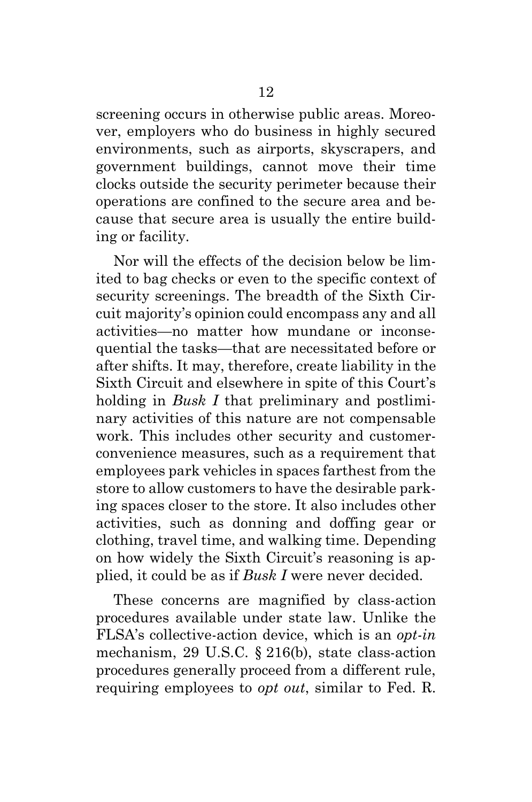screening occurs in otherwise public areas. Moreover, employers who do business in highly secured environments, such as airports, skyscrapers, and government buildings, cannot move their time clocks outside the security perimeter because their operations are confined to the secure area and because that secure area is usually the entire building or facility.

Nor will the effects of the decision below be limited to bag checks or even to the specific context of security screenings. The breadth of the Sixth Circuit majority's opinion could encompass any and all activities—no matter how mundane or inconsequential the tasks—that are necessitated before or after shifts. It may, therefore, create liability in the Sixth Circuit and elsewhere in spite of this Court's holding in *Busk I* that preliminary and postliminary activities of this nature are not compensable work. This includes other security and customerconvenience measures, such as a requirement that employees park vehicles in spaces farthest from the store to allow customers to have the desirable parking spaces closer to the store. It also includes other activities, such as donning and doffing gear or clothing, travel time, and walking time. Depending on how widely the Sixth Circuit's reasoning is applied, it could be as if *Busk I* were never decided.

<span id="page-17-1"></span><span id="page-17-0"></span>These concerns are magnified by class-action procedures available under state law. Unlike the FLSA's collective-action device, which is an *opt-in*  mechanism, 29 U.S.C. § 216(b), state class-action procedures generally proceed from a different rule, requiring employees to *opt out*, similar to Fed. R.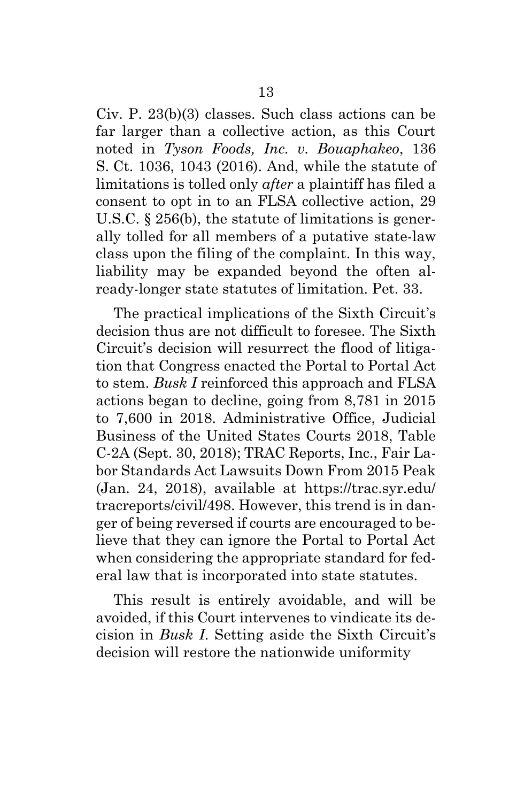<span id="page-18-1"></span><span id="page-18-0"></span>Civ. P. 23(b)(3) classes. Such class actions can be far larger than a collective action, as this Court noted in *Tyson Foods, Inc. v. Bouaphakeo*, 136 S. Ct. 1036, 1043 (2016). And, while the statute of limitations is tolled only *after* a plaintiff has filed a consent to opt in to an FLSA collective action, 29 U.S.C. § 256(b), the statute of limitations is generally tolled for all members of a putative state-law class upon the filing of the complaint. In this way, liability may be expanded beyond the often already-longer state statutes of limitation. Pet. 33.

<span id="page-18-3"></span>The practical implications of the Sixth Circuit's decision thus are not difficult to foresee. The Sixth Circuit's decision will resurrect the flood of litigation that Congress enacted the Portal to Portal Act to stem. *Busk I* reinforced this approach and FLSA actions began to decline, going from 8,781 in 2015 to 7,600 in 2018. Administrative Office, Judicial Business of the United States Courts 2018, Table C-2A (Sept. 30, 2018); TRAC Reports, Inc., Fair Labor Standards Act Lawsuits Down From 2015 Peak (Jan. 24, 2018), available at https://trac.syr.edu/ tracreports/civil/498. However, this trend is in danger of being reversed if courts are encouraged to believe that they can ignore the Portal to Portal Act when considering the appropriate standard for federal law that is incorporated into state statutes.

<span id="page-18-2"></span>This result is entirely avoidable, and will be avoided, if this Court intervenes to vindicate its decision in *Busk I*. Setting aside the Sixth Circuit's decision will restore the nationwide uniformity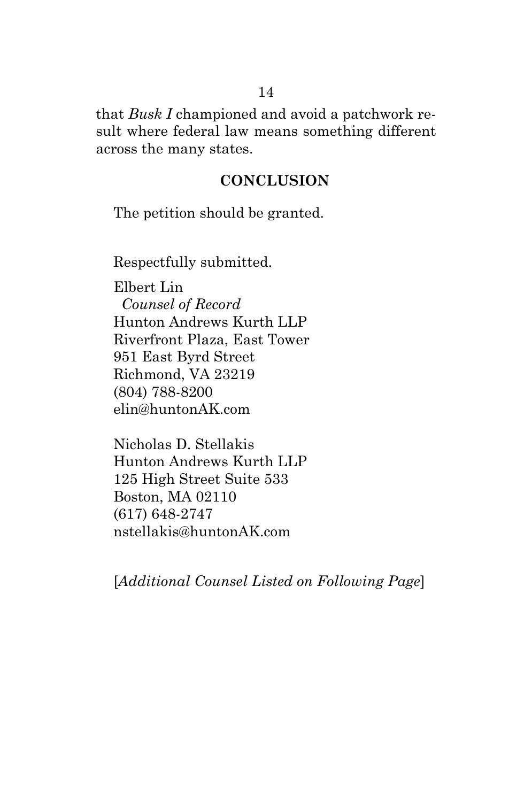that *Busk I* championed and avoid a patchwork result where federal law means something different across the many states.

#### **CONCLUSION**

<span id="page-19-0"></span>The petition should be granted.

Respectfully submitted.

Elbert Lin  *Counsel of Record* Hunton Andrews Kurth LLP Riverfront Plaza, East Tower 951 East Byrd Street Richmond, VA 23219 (804) 788-8200 elin@huntonAK.com

Nicholas D. Stellakis Hunton Andrews Kurth LLP 125 High Street Suite 533 Boston, MA 02110 (617) 648-2747 nstellakis@huntonAK.com

[*Additional Counsel Listed on Following Page*]